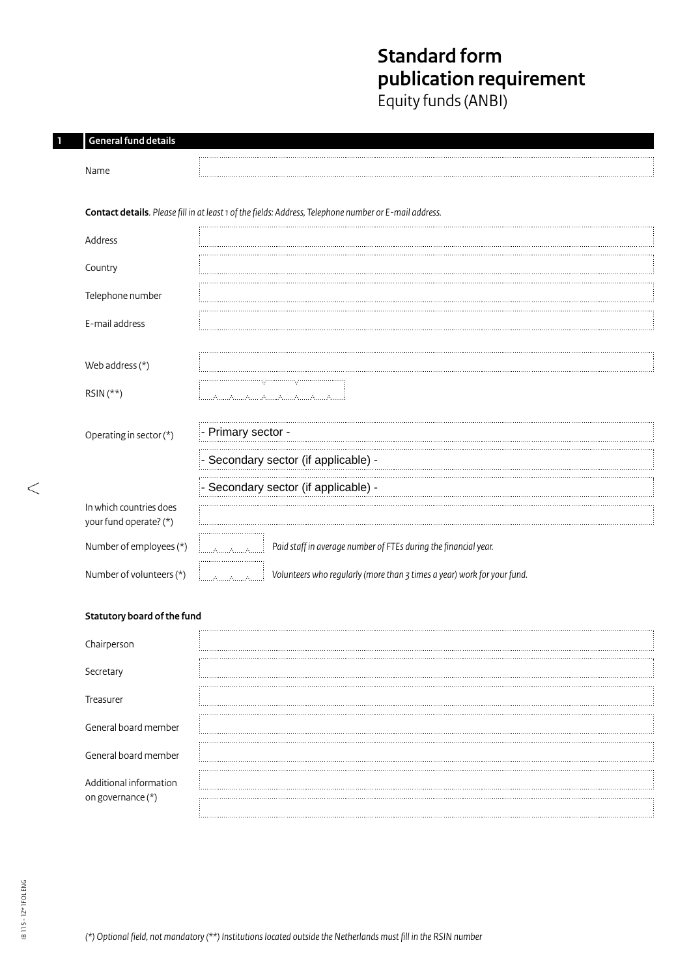# **Standard form publication requirement**

Equity funds (ANBI)

| <b>General fund details</b>                       |                                                                                                        |
|---------------------------------------------------|--------------------------------------------------------------------------------------------------------|
| Name                                              |                                                                                                        |
|                                                   | Contact details. Please fill in at least 1 of the fields: Address, Telephone number or E-mail address. |
| Address                                           |                                                                                                        |
| Country                                           |                                                                                                        |
| Telephone number                                  |                                                                                                        |
| E-mail address                                    |                                                                                                        |
| Web address (*)                                   |                                                                                                        |
| RSIN (**)                                         | السينة للسياة للسياة للسياة للسياة للسياة للسياة للسيا                                                 |
| Operating in sector (*)                           | - Primary sector -                                                                                     |
|                                                   | Secondary sector (if applicable) -                                                                     |
|                                                   | - Secondary sector (if applicable) -                                                                   |
| In which countries does<br>your fund operate? (*) |                                                                                                        |
| Number of employees (*)                           | Paid staff in average number of FTEs during the financial year.<br>فسيتميز منسمة                       |
| Number of volunteers (*)                          | Volunteers who regularly (more than 3 times a year) work for your fund.<br>i                           |
| Statutory board of the fund                       |                                                                                                        |
| Chairperson                                       |                                                                                                        |
| Secretary                                         |                                                                                                        |
| Treasurer                                         |                                                                                                        |
| General board member                              |                                                                                                        |
| General board member                              |                                                                                                        |
| Additional information                            |                                                                                                        |

on governance (\*)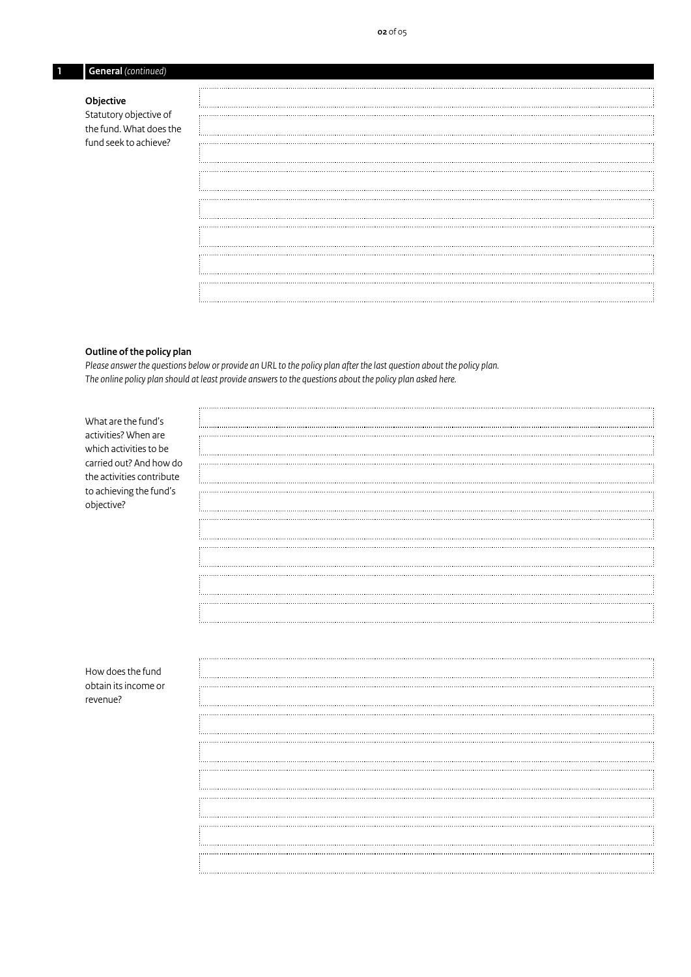| l G<br>continued)<br>ieneral<br>----- |
|---------------------------------------|
|                                       |

#### **Objective**

Statutory objective of the fund. What does the fund seek to achieve?

#### **Outline of the policy plan**

*Please answer the questions below or provide an URL to the policy plan after the last question about the policy plan. The online policy plan should at least provide answers to the questions about the policy plan asked here.*

| What are the fund's       |  |
|---------------------------|--|
|                           |  |
| activities? When are      |  |
| which activities to be    |  |
| carried out? And how do   |  |
|                           |  |
| the activities contribute |  |
| to achieving the fund's   |  |
|                           |  |
| objective?                |  |
|                           |  |
|                           |  |
|                           |  |
|                           |  |
|                           |  |
|                           |  |
|                           |  |
|                           |  |
|                           |  |
|                           |  |
|                           |  |
|                           |  |
|                           |  |
|                           |  |
|                           |  |
| How does the fund         |  |
| obtain its income or      |  |
|                           |  |
| revenue?                  |  |
|                           |  |
|                           |  |
|                           |  |
|                           |  |
|                           |  |
|                           |  |
|                           |  |
|                           |  |
|                           |  |
|                           |  |
|                           |  |
|                           |  |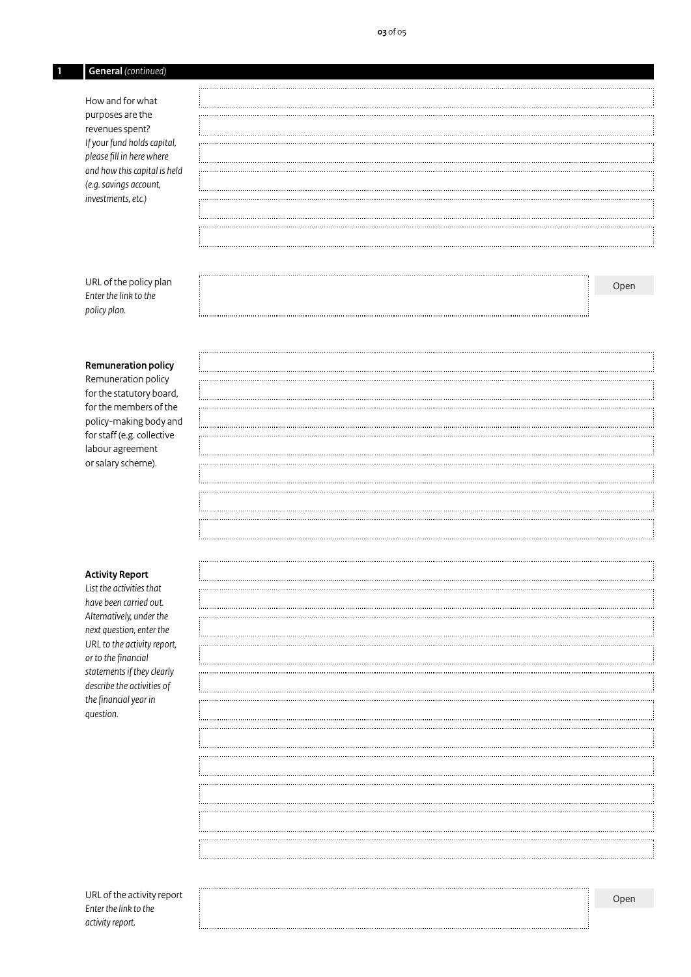## **1 General** *(continued)*

How and for what purposes are the revenues spent? *Ifyour fund holds capital, please fill in here where and how this capital is held (e.g. savings account, investments, etc.)*

URL of the policy plan *Enter the link to the policy plan.*

### **Remuneration policy**

Remuneration policy for the statutory board, for the members of the policy-making body and for staff (e.g. collective labour agreement or salary scheme).

#### **Activity Report**

*List the activities that have been carried out. Alternatively, under the next question, enter the URL to the activity report, or to the financial statements if they clearly describe the activities of the financial year in question.*

Open

URL of the activity report *Enter the link to the activity report.* 

Open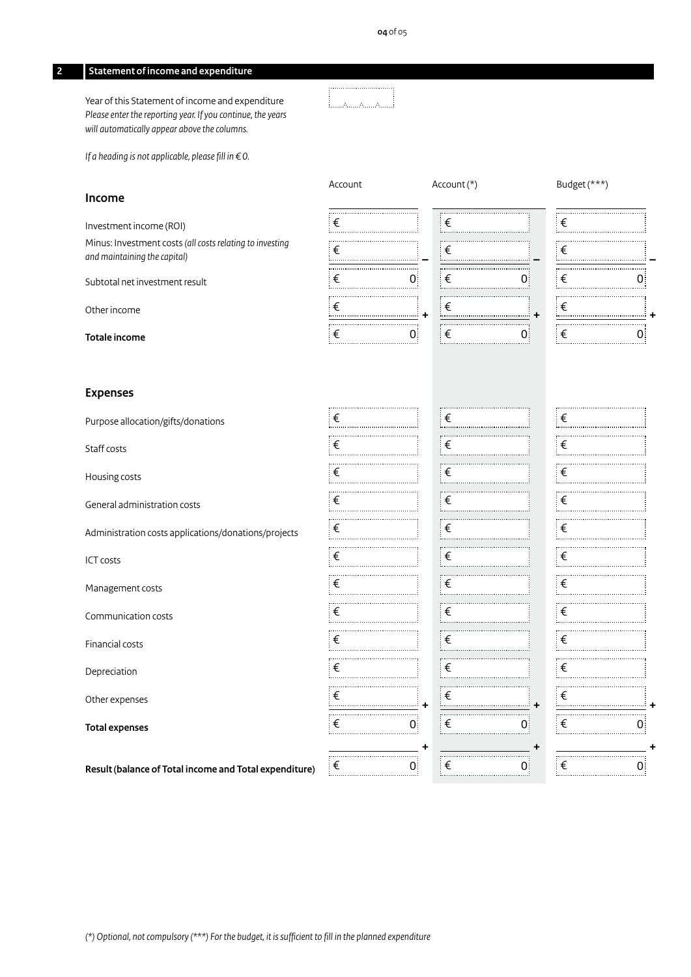#### **2 Statement of income and expenditure**

Year of this Statement of income and expenditure *Please enter the reporting year. If you continue, the years will automatically appear above the columns.*

السننديسية السنة السنة

*If a heading is not applicable, please fill in €0.*

#### **Income**

Investment income (ROI)

Minus: Investment costs *(all costs relating to investing and maintaining the capital)*

Subtotal net investment result

Other income

**Totale income**

#### **Expenses**

Purpose allocation/gifts/donations

Staff costs

Housing costs

General administration costs

Administration costs applications/donations/projects

ICT costs

Management costs

Communication costs

Financial costs

Depreciation

Other expenses

**Total expenses**

**Result (balance of Total income and Total expenditure)**

| Account | Account $(*)$ | Budget (***) |
|---------|---------------|--------------|
| ∶€      | ∶€            | ∶€           |
| ⊧€      | €             | ∶€           |
| ∶€      | ∶€            | ∶€           |
| ็€      | ∶€            | ∶€           |
| €       | €             | €            |



| $\vdots$<br>€         |                   |
|-----------------------|-------------------|
| $\overline{\epsilon}$ |                   |
| İ<br>€                | $0^{\frac{1}{2}}$ |
| i<br>€<br>            |                   |
| $\frac{1}{2}$<br>€    | $\vdots$<br>0     |

| $\epsilon$          | $\epsilon$ | $\epsilon$ |
|---------------------|------------|------------|
| €                   | ∶€         | ⊧€         |
| €                   | ∶€         | €          |
| $\epsilon$          | .<br>⊧€    | €          |
| €                   | ⊧€         | ็€         |
|                     |            |            |
| $\vert \in$         | ∶€         | €          |
| €                   | ⊧€         | ∶€         |
| €                   | ⊧€         | ็€         |
| $\epsilon$          | ⊧€         | €          |
| €                   | .<br>⊧€    | ็€         |
| $\epsilon$<br>$\pm$ | ┊€<br>$+$  | €          |
| €                   | Ε          | €          |
| +                   | ٠          |            |
| €                   | ⊧€         | ⊧€         |